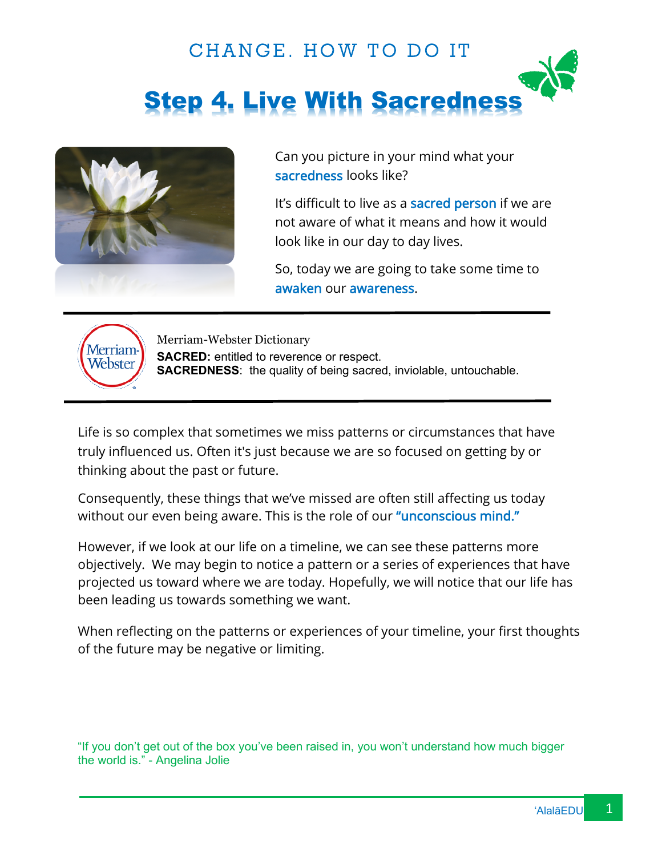# CHANGE. HOW TO DO IT Step 4. Live With Sacredness



Can you picture in your mind what your sacredness looks like?

It's difficult to live as a sacred person if we are not aware of what it means and how it would look like in our day to day lives.

So, today we are going to take some time to awaken our awareness.



Merriam-Webster Dictionary **SACRED:** entitled to reverence or respect. **SACREDNESS**: the quality of being sacred, inviolable, untouchable.

Life is so complex that sometimes we miss patterns or circumstances that have truly influenced us. Often it's just because we are so focused on getting by or thinking about the past or future.

Consequently, these things that we've missed are often still affecting us today without our even being aware. This is the role of our "unconscious mind."

However, if we look at our life on a timeline, we can see these patterns more objectively. We may begin to notice a pattern or a series of experiences that have projected us toward where we are today. Hopefully, we will notice that our life has been leading us towards something we want.

When reflecting on the patterns or experiences of your timeline, your first thoughts of the future may be negative or limiting.

"If you don't get out of the box you've been raised in, you won't understand how much bigger the world is." - Angelina Jolie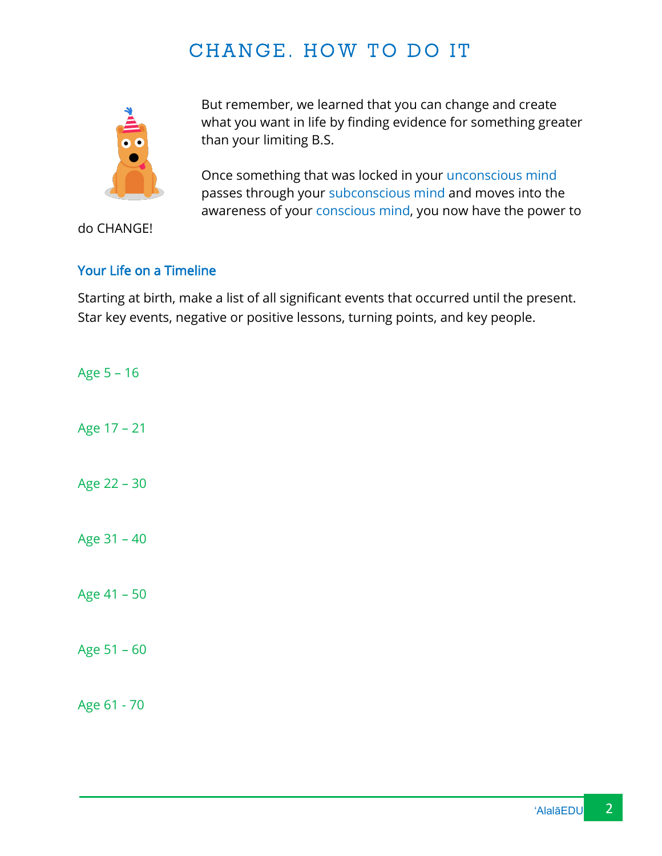## CHANGE. HOW TO DO IT



But remember, we learned that you can change and create what you want in life by finding evidence for something greater than your limiting B.S.

Once something that was locked in your unconscious mind passes through your subconscious mind and moves into the awareness of your conscious mind, you now have the power to

do CHANGE!

#### Your Life on a Timeline

Starting at birth, make a list of all significant events that occurred until the present. Star key events, negative or positive lessons, turning points, and key people.

Age 5 – 16 Age 17 – 21 Age 22 – 30 Age 31 – 40 Age 41 – 50 Age 51 – 60 Age 61 - 70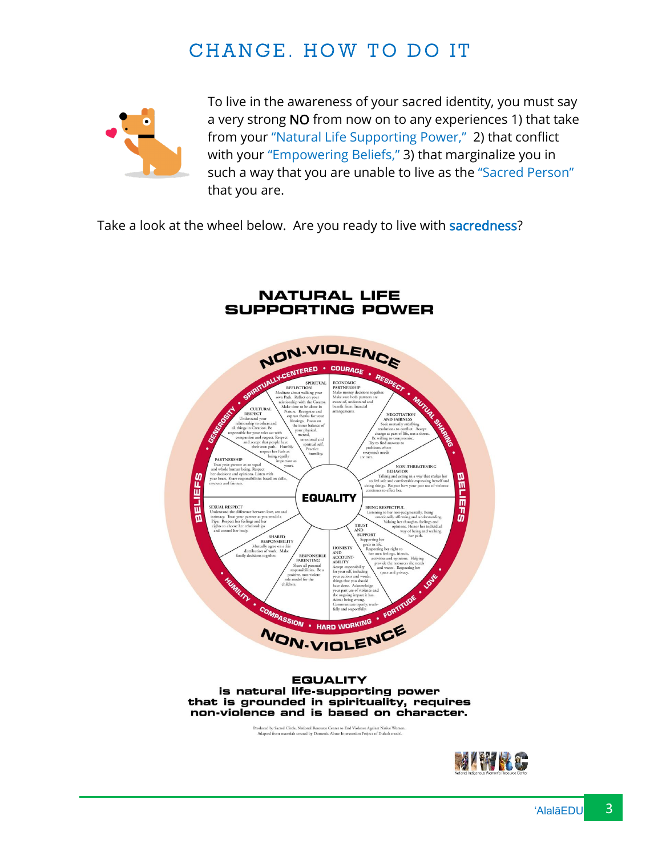## CHANGE. HOW TO DO IT



To live in the awareness of your sacred identity, you must say a very strong NO from now on to any experiences 1) that take from your "Natural Life Supporting Power," 2) that conflict with your "Empowering Beliefs," 3) that marginalize you in such a way that you are unable to live as the "Sacred Person" that you are.

Take a look at the wheel below. Are you ready to live with sacredness?

**NATURAL LIFE**